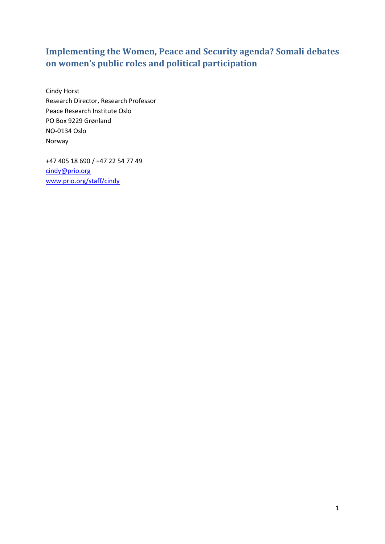# **Implementing the Women, Peace and Security agenda? Somali debates on women's public roles and political participation**

Cindy Horst Research Director, Research Professor Peace Research Institute Oslo PO Box 9229 Grønland NO-0134 Oslo Norway

+47 405 18 690 / +47 22 54 77 49 [cindy@prio.org](mailto:cindy@prio.org) [www.prio.org/staff/cindy](http://www.prio.org/staff/cindy)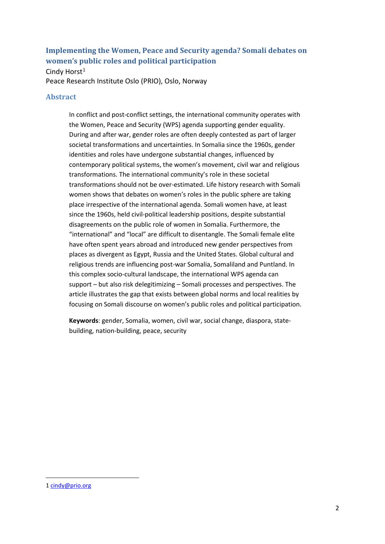## **Implementing the Women, Peace and Security agenda? Somali debates on women's public roles and political participation**

Cindy Horst $1$ Peace Research Institute Oslo (PRIO), Oslo, Norway

#### **Abstract**

In conflict and post-conflict settings, the international community operates with the Women, Peace and Security (WPS) agenda supporting gender equality. During and after war, gender roles are often deeply contested as part of larger societal transformations and uncertainties. In Somalia since the 1960s, gender identities and roles have undergone substantial changes, influenced by contemporary political systems, the women's movement, civil war and religious transformations. The international community's role in these societal transformations should not be over-estimated. Life history research with Somali women shows that debates on women's roles in the public sphere are taking place irrespective of the international agenda. Somali women have, at least since the 1960s, held civil-political leadership positions, despite substantial disagreements on the public role of women in Somalia. Furthermore, the "international" and "local" are difficult to disentangle. The Somali female elite have often spent years abroad and introduced new gender perspectives from places as divergent as Egypt, Russia and the United States. Global cultural and religious trends are influencing post-war Somalia, Somaliland and Puntland. In this complex socio-cultural landscape, the international WPS agenda can support – but also risk delegitimizing – Somali processes and perspectives. The article illustrates the gap that exists between global norms and local realities by focusing on Somali discourse on women's public roles and political participation.

**Keywords**: gender, Somalia, women, civil war, social change, diaspora, statebuilding, nation-building, peace, security

<u>.</u>

<span id="page-1-0"></span><sup>1</sup> [cindy@prio.org](mailto:cindy@prio.org)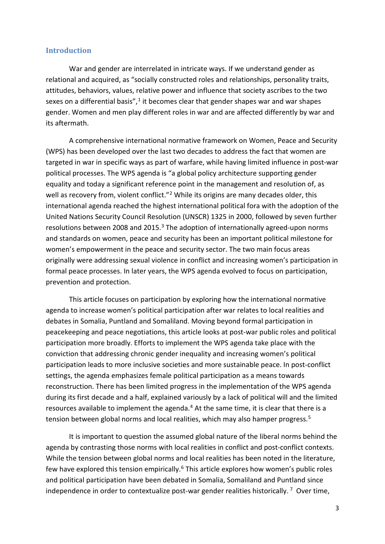#### **Introduction**

War and gender are interrelated in intricate ways. If we understand gender as relational and acquired, as "socially constructed roles and relationships, personality traits, attitudes, behaviors, values, relative power and influence that society ascribes to the two sexes on a differential basis", $1$  it becomes clear that gender shapes war and war shapes gender. Women and men play different roles in war and are affected differently by war and its aftermath.

A comprehensive international normative framework on Women, Peace and Security (WPS) has been developed over the last two decades to address the fact that women are targeted in war in specific ways as part of warfare, while having limited influence in post-war political processes. The WPS agenda is "a global policy architecture supporting gender equality and today a significant reference point in the management and resolution of, as well as recovery from, violent conflict."<sup>[2](#page-3-1)</sup> While its origins are many decades older, this international agenda reached the highest international political fora with the adoption of the United Nations Security Council Resolution (UNSCR) 1325 in 2000, followed by seven further resolutions between 2008 and 2015. $3$  The adoption of internationally agreed-upon norms and standards on women, peace and security has been an important political milestone for women's empowerment in the peace and security sector. The two main focus areas originally were addressing sexual violence in conflict and increasing women's participation in formal peace processes. In later years, the WPS agenda evolved to focus on participation, prevention and protection.

This article focuses on participation by exploring how the international normative agenda to increase women's political participation after war relates to local realities and debates in Somalia, Puntland and Somaliland. Moving beyond formal participation in peacekeeping and peace negotiations, this article looks at post-war public roles and political participation more broadly. Efforts to implement the WPS agenda take place with the conviction that addressing chronic gender inequality and increasing women's political participation leads to more inclusive societies and more sustainable peace. In post-conflict settings, the agenda emphasizes female political participation as a means towards reconstruction. There has been limited progress in the implementation of the WPS agenda during its first decade and a half, explained variously by a lack of political will and the limited resources available to implement the agenda.<sup>[4](#page-3-3)</sup> At the same time, it is clear that there is a tension between global norms and local realities, which may also hamper progress.<sup>[5](#page-3-4)</sup>

It is important to question the assumed global nature of the liberal norms behind the agenda by contrasting those norms with local realities in conflict and post-conflict contexts. While the tension between global norms and local realities has been noted in the literature, few have explored this tension empirically.<sup>[6](#page-3-5)</sup> This article explores how women's public roles and political participation have been debated in Somalia, Somaliland and Puntland since independence in order to contextualize post-war gender realities historically.<sup>[7](#page-3-6)</sup> Over time,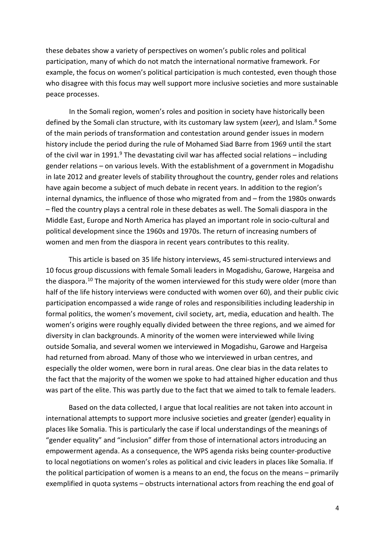these debates show a variety of perspectives on women's public roles and political participation, many of which do not match the international normative framework. For example, the focus on women's political participation is much contested, even though those who disagree with this focus may well support more inclusive societies and more sustainable peace processes.

In the Somali region, women's roles and position in society have historically been defined by the Somali clan structure, with its customary law system (*xeer*), and Islam. [8](#page-3-7) Some of the main periods of transformation and contestation around gender issues in modern history include the period during the rule of Mohamed Siad Barre from 1969 until the start of the civil war in 1[9](#page-3-8)91.<sup>9</sup> The devastating civil war has affected social relations – including gender relations – on various levels. With the establishment of a government in Mogadishu in late 2012 and greater levels of stability throughout the country, gender roles and relations have again become a subject of much debate in recent years. In addition to the region's internal dynamics, the influence of those who migrated from and – from the 1980s onwards – fled the country plays a central role in these debates as well. The Somali diaspora in the Middle East, Europe and North America has played an important role in socio-cultural and political development since the 1960s and 1970s. The return of increasing numbers of women and men from the diaspora in recent years contributes to this reality.

<span id="page-3-9"></span><span id="page-3-8"></span><span id="page-3-7"></span><span id="page-3-6"></span><span id="page-3-5"></span><span id="page-3-4"></span><span id="page-3-3"></span><span id="page-3-2"></span><span id="page-3-1"></span><span id="page-3-0"></span>This article is based on 35 life history interviews, 45 semi-structured interviews and 10 focus group discussions with female Somali leaders in Mogadishu, Garowe, Hargeisa and the diaspora.<sup>[10](#page-3-9)</sup> The majority of the women interviewed for this study were older (more than half of the life history interviews were conducted with women over 60), and their public civic participation encompassed a wide range of roles and responsibilities including leadership in formal politics, the women's movement, civil society, art, media, education and health. The women's origins were roughly equally divided between the three regions, and we aimed for diversity in clan backgrounds. A minority of the women were interviewed while living outside Somalia, and several women we interviewed in Mogadishu, Garowe and Hargeisa had returned from abroad. Many of those who we interviewed in urban centres, and especially the older women, were born in rural areas. One clear bias in the data relates to the fact that the majority of the women we spoke to had attained higher education and thus was part of the elite. This was partly due to the fact that we aimed to talk to female leaders.

<span id="page-3-23"></span><span id="page-3-22"></span><span id="page-3-21"></span><span id="page-3-20"></span><span id="page-3-19"></span><span id="page-3-18"></span><span id="page-3-17"></span><span id="page-3-16"></span><span id="page-3-15"></span><span id="page-3-14"></span><span id="page-3-13"></span><span id="page-3-12"></span><span id="page-3-11"></span><span id="page-3-10"></span>Based on the data collected, I argue that local realities are not taken into account in international attempts to support more inclusive societies and greater (gender) equality in places like Somalia. This is particularly the case if local understandings of the meanings of "gender equality" and "inclusion" differ from those of international actors introducing an empowerment agenda. As a consequence, the WPS agenda risks being counter-productive to local negotiations on women's roles as political and civic leaders in places like Somalia. If the political participation of women is a means to an end, the focus on the means – primarily exemplified in quota systems – obstructs international actors from reaching the end goal of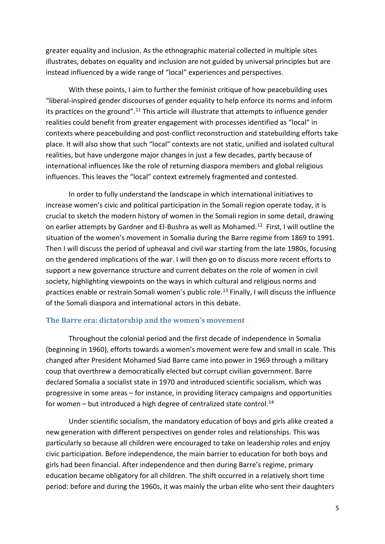<span id="page-4-1"></span><span id="page-4-0"></span>greater equality and inclusion. As the ethnographic material collected in multiple sites illustrates, debates on equality and inclusion are not guided by universal principles but are instead influenced by a wide range of "local" experiences and perspectives.

<span id="page-4-9"></span><span id="page-4-8"></span><span id="page-4-7"></span><span id="page-4-6"></span><span id="page-4-5"></span><span id="page-4-4"></span><span id="page-4-3"></span><span id="page-4-2"></span>With these points, I aim to further the feminist critique of how peacebuilding uses "liberal-inspired gender discourses of gender equality to help enforce its norms and inform its practices on the ground".<sup>[11](#page-3-10)</sup> This article will illustrate that attempts to influence gender realities could benefit from greater engagement with processes identified as "local" in contexts where peacebuilding and post-conflict reconstruction and statebuilding efforts take place. It will also show that such "local" contexts are not static, unified and isolated cultural realities, but have undergone major changes in just a few decades, partly because of international influences like the role of returning diaspora members and global religious influences. This leaves the "local" context extremely fragmented and contested.

<span id="page-4-22"></span><span id="page-4-21"></span><span id="page-4-20"></span><span id="page-4-19"></span><span id="page-4-18"></span><span id="page-4-17"></span><span id="page-4-16"></span><span id="page-4-15"></span><span id="page-4-14"></span><span id="page-4-13"></span><span id="page-4-12"></span><span id="page-4-11"></span><span id="page-4-10"></span>In order to fully understand the landscape in which international initiatives to increase women's civic and political participation in the Somali region operate today, it is crucial to sketch the modern history of women in the Somali region in some detail, drawing on earlier attempts by Gardner and El-Bushra as well as Mohamed. [12](#page-3-11) First, I will outline the situation of the women's movement in Somalia during the Barre regime from 1869 to 1991. Then I will discuss the period of upheaval and civil war starting from the late 1980s, focusing on the gendered implications of the war. I will then go on to discuss more recent efforts to support a new governance structure and current debates on the role of women in civil society, highlighting viewpoints on the ways in which cultural and religious norms and practices enable or restrain Somali women's public role.<sup>[13](#page-3-12)</sup> Finally, I will discuss the influence of the Somali diaspora and international actors in this debate.

#### <span id="page-4-30"></span><span id="page-4-29"></span><span id="page-4-28"></span><span id="page-4-27"></span><span id="page-4-26"></span><span id="page-4-25"></span><span id="page-4-24"></span><span id="page-4-23"></span>**The Barre era: dictatorship and the women's movement**

<span id="page-4-34"></span><span id="page-4-33"></span><span id="page-4-32"></span><span id="page-4-31"></span>Throughout the colonial period and the first decade of independence in Somalia (beginning in 1960), efforts towards a women's movement were few and small in scale. This changed after President Mohamed Siad Barre came into power in 1969 through a military coup that overthrew a democratically elected but corrupt civilian government. Barre declared Somalia a socialist state in 1970 and introduced scientific socialism, which was progressive in some areas – for instance, in providing literacy campaigns and opportunities for women – but introduced a high degree of centralized state control.<sup>14</sup>

<span id="page-4-47"></span><span id="page-4-46"></span><span id="page-4-45"></span><span id="page-4-44"></span><span id="page-4-43"></span><span id="page-4-42"></span><span id="page-4-41"></span><span id="page-4-40"></span><span id="page-4-39"></span><span id="page-4-38"></span><span id="page-4-37"></span><span id="page-4-36"></span><span id="page-4-35"></span>Under scientific socialism, the mandatory education of boys and girls alike created a new generation with different perspectives on gender roles and relationships. This was particularly so because all children were encouraged to take on leadership roles and enjoy civic participation. Before independence, the main barrier to education for both boys and girls had been financial. After independence and then during Barre's regime, primary education became obligatory for all children. The shift occurred in a relatively short time period: before and during the 1960s, it was mainly the urban elite who sent their daughters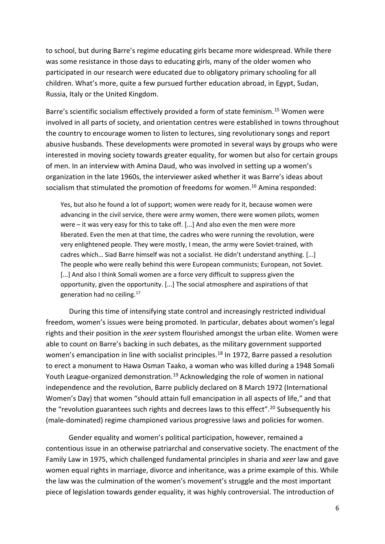<span id="page-5-0"></span>to school, but during Barre's regime educating girls became more widespread. While there was some resistance in those days to educating girls, many of the older women who participated in our research were educated due to obligatory primary schooling for all children. What's more, quite a few pursued further education abroad, in Egypt, Sudan, Russia, Italy or the United Kingdom.

<span id="page-5-7"></span><span id="page-5-6"></span><span id="page-5-5"></span><span id="page-5-4"></span><span id="page-5-3"></span><span id="page-5-2"></span><span id="page-5-1"></span>Barre's scientific socialism effectively provided a form of state feminism.<sup>[15](#page-3-14)</sup> Women were involved in all parts of society, and orientation centres were established in towns throughout the country to encourage women to listen to lectures, sing revolutionary songs and report abusive husbands. These developments were promoted in several ways by groups who were interested in moving society towards greater equality, for women but also for certain groups of men. In an interview with Amina Daud, who was involved in setting up a women's organization in the late 1960s, the interviewer asked whether it was Barre's ideas about socialism that stimulated the promotion of freedoms for women.<sup>[16](#page-3-15)</sup> Amina responded:

Yes, but also he found a lot of support; women were ready for it, because women were advancing in the civil service, there were army women, there were women pilots, women were – it was very easy for this to take off. [...] And also even the men were more liberated. Even the men at that time, the cadres who were running the revolution, were very enlightened people. They were mostly, I mean, the army were Soviet-trained, with cadres which… Siad Barre himself was not a socialist. He didn't understand anything. [...] The people who were really behind this were European communists; European, not Soviet. [...] And also I think Somali women are a force very difficult to suppress given the opportunity, given the opportunity. [...] The social atmosphere and aspirations of that generation had no ceiling.<sup>[17](#page-3-16)</sup>

During this time of intensifying state control and increasingly restricted individual freedom, women's issues were being promoted. In particular, debates about women's legal rights and their position in the *xeer* system flourished amongst the urban elite. Women were able to count on Barre's backing in such debates, as the military government supported women's emancipation in line with socialist principles.<sup>18</sup> In 1972, Barre passed a resolution to erect a monument to Hawa Osman Taako, a woman who was killed during a 1948 Somali Youth League-organized demonstration.<sup>[19](#page-3-18)</sup> Acknowledging the role of women in national independence and the revolution, Barre publicly declared on 8 March 1972 (International Women's Day) that women "should attain full emancipation in all aspects of life," and that the "revolution guarantees such rights and decrees laws to this effect".<sup>[20](#page-3-19)</sup> Subsequently his (male-dominated) regime championed various progressive laws and policies for women.

Gender equality and women's political participation, however, remained a contentious issue in an otherwise patriarchal and conservative society. The enactment of the Family Law in 1975, which challenged fundamental principles in sharia and *xeer* law and gave women equal rights in marriage, divorce and inheritance, was a prime example of this. While the law was the culmination of the women's movement's struggle and the most important piece of legislation towards gender equality, it was highly controversial. The introduction of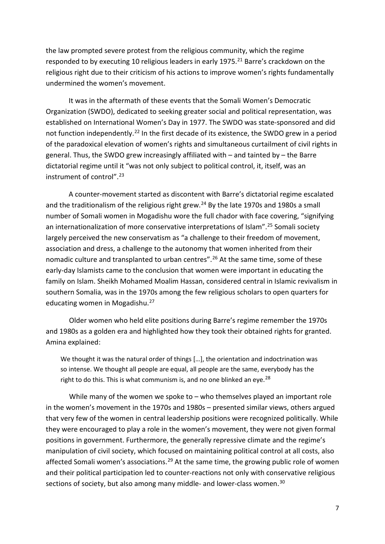the law prompted severe protest from the religious community, which the regime responded to by executing 10 religious leaders in early 1975.<sup>[21](#page-3-20)</sup> Barre's crackdown on the religious right due to their criticism of his actions to improve women's rights fundamentally undermined the women's movement.

It was in the aftermath of these events that the Somali Women's Democratic Organization (SWDO), dedicated to seeking greater social and political representation, was established on International Women's Day in 1977. The SWDO was state-sponsored and did not function independently.<sup>[22](#page-3-21)</sup> In the first decade of its existence, the SWDO grew in a period of the paradoxical elevation of women's rights and simultaneous curtailment of civil rights in general. Thus, the SWDO grew increasingly affiliated with – and tainted by – the Barre dictatorial regime until it "was not only subject to political control, it, itself, was an instrument of control".<sup>[23](#page-3-22)</sup>

A counter-movement started as discontent with Barre's dictatorial regime escalated and the traditionalism of the religious right grew.<sup>[24](#page-3-23)</sup> By the late 1970s and 1980s a small number of Somali women in Mogadishu wore the full chador with face covering, "signifying an internationalization of more conservative interpretations of Islam".<sup>[25](#page-4-0)</sup> Somali society largely perceived the new conservatism as "a challenge to their freedom of movement, association and dress, a challenge to the autonomy that women inherited from their nomadic culture and transplanted to urban centres".<sup>[26](#page-4-1)</sup> At the same time, some of these early-day Islamists came to the conclusion that women were important in educating the family on Islam. Sheikh Mohamed Moalim Hassan, considered central in Islamic revivalism in southern Somalia, was in the 1970s among the few religious scholars to open quarters for educating women in Mogadishu.[27](#page-4-2)

Older women who held elite positions during Barre's regime remember the 1970s and 1980s as a golden era and highlighted how they took their obtained rights for granted. Amina explained:

We thought it was the natural order of things [...], the orientation and indoctrination was so intense. We thought all people are equal, all people are the same, everybody has the right to do this. This is what communism is, and no one blinked an eye.<sup>[28](#page-4-3)</sup>

While many of the women we spoke to – who themselves played an important role in the women's movement in the 1970s and 1980s – presented similar views, others argued that very few of the women in central leadership positions were recognized politically. While they were encouraged to play a role in the women's movement, they were not given formal positions in government. Furthermore, the generally repressive climate and the regime's manipulation of civil society, which focused on maintaining political control at all costs, also affected Somali women's associations.<sup>[29](#page-4-4)</sup> At the same time, the growing public role of women and their political participation led to counter-reactions not only with conservative religious sections of society, but also among many middle- and lower-class women.<sup>30</sup>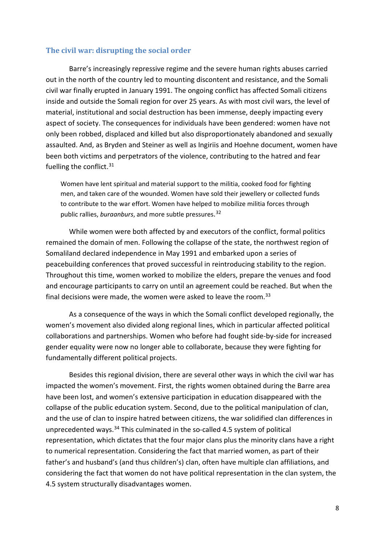#### **The civil war: disrupting the social order**

Barre's increasingly repressive regime and the severe human rights abuses carried out in the north of the country led to mounting discontent and resistance, and the Somali civil war finally erupted in January 1991. The ongoing conflict has affected Somali citizens inside and outside the Somali region for over 25 years. As with most civil wars, the level of material, institutional and social destruction has been immense, deeply impacting every aspect of society. The consequences for individuals have been gendered: women have not only been robbed, displaced and killed but also disproportionately abandoned and sexually assaulted. And, as Bryden and Steiner as well as Ingiriis and Hoehne document, women have been both victims and perpetrators of the violence, contributing to the hatred and fear fuelling the conflict.<sup>[31](#page-4-6)</sup>

Women have lent spiritual and material support to the militia, cooked food for fighting men, and taken care of the wounded. Women have sold their jewellery or collected funds to contribute to the war effort. Women have helped to mobilize militia forces through public rallies, *buraanburs*, and more subtle pressures. [32](#page-4-7)

While women were both affected by and executors of the conflict, formal politics remained the domain of men. Following the collapse of the state, the northwest region of Somaliland declared independence in May 1991 and embarked upon a series of peacebuilding conferences that proved successful in reintroducing stability to the region. Throughout this time, women worked to mobilize the elders, prepare the venues and food and encourage participants to carry on until an agreement could be reached. But when the final decisions were made, the women were asked to leave the room.<sup>[33](#page-4-8)</sup>

As a consequence of the ways in which the Somali conflict developed regionally, the women's movement also divided along regional lines, which in particular affected political collaborations and partnerships. Women who before had fought side-by-side for increased gender equality were now no longer able to collaborate, because they were fighting for fundamentally different political projects.

Besides this regional division, there are several other ways in which the civil war has impacted the women's movement. First, the rights women obtained during the Barre area have been lost, and women's extensive participation in education disappeared with the collapse of the public education system. Second, due to the political manipulation of clan, and the use of clan to inspire hatred between citizens, the war solidified clan differences in unprecedented ways.[34](#page-4-9) This culminated in the so-called 4.5 system of political representation, which dictates that the four major clans plus the minority clans have a right to numerical representation. Considering the fact that married women, as part of their father's and husband's (and thus children's) clan, often have multiple clan affiliations, and considering the fact that women do not have political representation in the clan system, the 4.5 system structurally disadvantages women.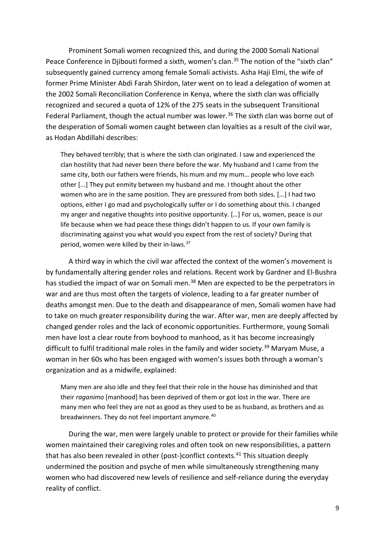Prominent Somali women recognized this, and during the 2000 Somali National Peace Conference in Djibouti formed a sixth, women's clan.<sup>[35](#page-4-10)</sup> The notion of the "sixth clan" subsequently gained currency among female Somali activists. Asha Haji Elmi, the wife of former Prime Minister Abdi Farah Shirdon, later went on to lead a delegation of women at the 2002 Somali Reconciliation Conference in Kenya, where the sixth clan was officially recognized and secured a quota of 12% of the 275 seats in the subsequent Transitional Federal Parliament, though the actual number was lower.<sup>[36](#page-4-11)</sup> The sixth clan was borne out of the desperation of Somali women caught between clan loyalties as a result of the civil war, as Hodan Abdillahi describes:

They behaved terribly; that is where the sixth clan originated. I saw and experienced the clan hostility that had never been there before the war. My husband and I came from the same city, both our fathers were friends, his mum and my mum… people who love each other [...] They put enmity between my husband and me. I thought about the other women who are in the same position. They are pressured from both sides. [...] I had two options, either I go mad and psychologically suffer or I do something about this. I changed my anger and negative thoughts into positive opportunity. […] For us, women, peace is our life because when we had peace these things didn't happen to us. If your own family is discriminating against you what would you expect from the rest of society? During that period, women were killed by their in-laws.<sup>[37](#page-4-12)</sup>

A third way in which the civil war affected the context of the women's movement is by fundamentally altering gender roles and relations. Recent work by Gardner and El-Bushra has studied the impact of war on Somali men.<sup>[38](#page-4-13)</sup> Men are expected to be the perpetrators in war and are thus most often the targets of violence, leading to a far greater number of deaths amongst men. Due to the death and disappearance of men, Somali women have had to take on much greater responsibility during the war. After war, men are deeply affected by changed gender roles and the lack of economic opportunities. Furthermore, young Somali men have lost a clear route from boyhood to manhood, as it has become increasingly difficult to fulfil traditional male roles in the family and wider society.<sup>39</sup> Maryam Muse, a woman in her 60s who has been engaged with women's issues both through a woman's organization and as a midwife, explained:

Many men are also idle and they feel that their role in the house has diminished and that their *raganimo* [manhood] has been deprived of them or got lost in the war. There are many men who feel they are not as good as they used to be as husband, as brothers and as breadwinners. They do not feel important anymore.<sup>[40](#page-4-15)</sup>

During the war, men were largely unable to protect or provide for their families while women maintained their caregiving roles and often took on new responsibilities, a pattern that has also been revealed in other (post-)conflict contexts.<sup>[41](#page-4-16)</sup> This situation deeply undermined the position and psyche of men while simultaneously strengthening many women who had discovered new levels of resilience and self-reliance during the everyday reality of conflict.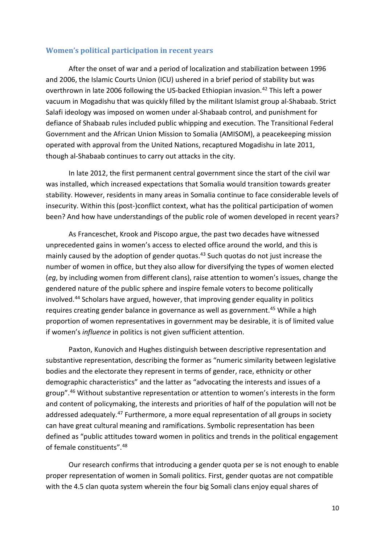#### **Women's political participation in recent years**

After the onset of war and a period of localization and stabilization between 1996 and 2006, the Islamic Courts Union (ICU) ushered in a brief period of stability but was overthrown in late 2006 following the US-backed Ethiopian invasion. [42](#page-4-17) This left a power vacuum in Mogadishu that was quickly filled by the militant Islamist group al-Shabaab. Strict Salafi ideology was imposed on women under al-Shabaab control, and punishment for defiance of Shabaab rules included public whipping and execution. The Transitional Federal Government and the African Union Mission to Somalia (AMISOM), a peacekeeping mission operated with approval from the United Nations, recaptured Mogadishu in late 2011, though al-Shabaab continues to carry out attacks in the city.

In late 2012, the first permanent central government since the start of the civil war was installed, which increased expectations that Somalia would transition towards greater stability. However, residents in many areas in Somalia continue to face considerable levels of insecurity. Within this (post-)conflict context, what has the political participation of women been? And how have understandings of the public role of women developed in recent years?

As Franceschet, Krook and Piscopo argue, the past two decades have witnessed unprecedented gains in women's access to elected office around the world, and this is mainly caused by the adoption of gender quotas.<sup>[43](#page-4-18)</sup> Such quotas do not just increase the number of women in office, but they also allow for diversifying the types of women elected (*eg*, by including women from different clans), raise attention to women's issues, change the gendered nature of the public sphere and inspire female voters to become politically involved.[44](#page-4-19) Scholars have argued, however, that improving gender equality in politics requires creating gender balance in governance as well as government.<sup>[45](#page-4-20)</sup> While a high proportion of women representatives in government may be desirable, it is of limited value if women's *influence* in politics is not given sufficient attention.

Paxton, Kunovich and Hughes distinguish between descriptive representation and substantive representation, describing the former as "numeric similarity between legislative bodies and the electorate they represent in terms of gender, race, ethnicity or other demographic characteristics" and the latter as "advocating the interests and issues of a group". [46](#page-4-21) Without substantive representation or attention to women's interests in the form and content of policymaking, the interests and priorities of half of the population will not be addressed adequately.<sup>[47](#page-4-22)</sup> Furthermore, a more equal representation of all groups in society can have great cultural meaning and ramifications. Symbolic representation has been defined as "public attitudes toward women in politics and trends in the political engagement of female constituents". [48](#page-4-23)

Our research confirms that introducing a gender quota per se is not enough to enable proper representation of women in Somali politics. First, gender quotas are not compatible with the 4.5 clan quota system wherein the four big Somali clans enjoy equal shares of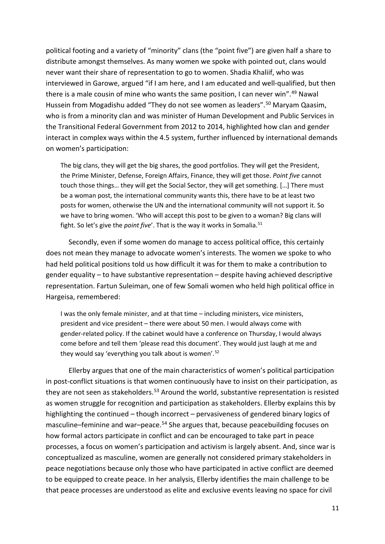political footing and a variety of "minority" clans (the "point five") are given half a share to distribute amongst themselves. As many women we spoke with pointed out, clans would never want their share of representation to go to women. Shadia Khaliif, who was interviewed in Garowe, argued "if I am here, and I am educated and well-qualified, but then there is a male cousin of mine who wants the same position, I can never win".<sup>[49](#page-4-24)</sup> Nawal Hussein from Mogadishu added "They do not see women as leaders". [50](#page-4-25) Maryam Qaasim, who is from a minority clan and was minister of Human Development and Public Services in the Transitional Federal Government from 2012 to 2014, highlighted how clan and gender interact in complex ways within the 4.5 system, further influenced by international demands on women's participation:

The big clans, they will get the big shares, the good portfolios. They will get the President, the Prime Minister, Defense, Foreign Affairs, Finance, they will get those. *Point five* cannot touch those things… they will get the Social Sector, they will get something. […] There must be a woman post, the international community wants this, there have to be at least two posts for women, otherwise the UN and the international community will not support it. So we have to bring women. 'Who will accept this post to be given to a woman? Big clans will fight. So let's give the *point five*'. That is the way it works in Somalia. [51](#page-4-26)

Secondly, even if some women do manage to access political office, this certainly does not mean they manage to advocate women's interests. The women we spoke to who had held political positions told us how difficult it was for them to make a contribution to gender equality – to have substantive representation – despite having achieved descriptive representation. Fartun Suleiman, one of few Somali women who held high political office in Hargeisa, remembered:

I was the only female minister, and at that time – including ministers, vice ministers, president and vice president – there were about 50 men. I would always come with gender-related policy. If the cabinet would have a conference on Thursday, I would always come before and tell them 'please read this document'. They would just laugh at me and they would say 'everything you talk about is women'.<sup>[52](#page-4-27)</sup>

Ellerby argues that one of the main characteristics of women's political participation in post-conflict situations is that women continuously have to insist on their participation, as they are not seen as stakeholders.<sup>[53](#page-4-28)</sup> Around the world, substantive representation is resisted as women struggle for recognition and participation as stakeholders. Ellerby explains this by highlighting the continued – though incorrect – pervasiveness of gendered binary logics of masculine–feminine and war–peace.<sup>[54](#page-4-29)</sup> She argues that, because peacebuilding focuses on how formal actors participate in conflict and can be encouraged to take part in peace processes, a focus on women's participation and activism is largely absent. And, since war is conceptualized as masculine, women are generally not considered primary stakeholders in peace negotiations because only those who have participated in active conflict are deemed to be equipped to create peace. In her analysis, Ellerby identifies the main challenge to be that peace processes are understood as elite and exclusive events leaving no space for civil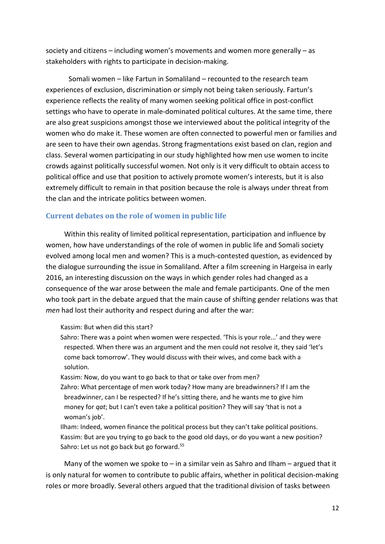society and citizens – including women's movements and women more generally – as stakeholders with rights to participate in decision-making.

Somali women – like Fartun in Somaliland – recounted to the research team experiences of exclusion, discrimination or simply not being taken seriously. Fartun's experience reflects the reality of many women seeking political office in post-conflict settings who have to operate in male-dominated political cultures. At the same time, there are also great suspicions amongst those we interviewed about the political integrity of the women who do make it. These women are often connected to powerful men or families and are seen to have their own agendas. Strong fragmentations exist based on clan, region and class. Several women participating in our study highlighted how men use women to incite crowds against politically successful women. Not only is it very difficult to obtain access to political office and use that position to actively promote women's interests, but it is also extremely difficult to remain in that position because the role is always under threat from the clan and the intricate politics between women.

#### **Current debates on the role of women in public life**

Within this reality of limited political representation, participation and influence by women, how have understandings of the role of women in public life and Somali society evolved among local men and women? This is a much-contested question, as evidenced by the dialogue surrounding the issue in Somaliland. After a film screening in Hargeisa in early 2016, an interesting discussion on the ways in which gender roles had changed as a consequence of the war arose between the male and female participants. One of the men who took part in the debate argued that the main cause of shifting gender relations was that *men* had lost their authority and respect during and after the war:

Kassim: But when did this start?

Sahro: There was a point when women were respected. 'This is your role...' and they were respected. When there was an argument and the men could not resolve it, they said 'let's come back tomorrow'. They would discuss with their wives, and come back with a solution.

Kassim: Now, do you want to go back to that or take over from men?

- Zahro: What percentage of men work today? How many are breadwinners? If I am the breadwinner, can I be respected? If he's sitting there, and he wants me to give him money for *qat*; but I can't even take a political position? They will say 'that is not a woman's job'.
- Ilham: Indeed, women finance the political process but they can't take political positions. Kassim: But are you trying to go back to the good old days, or do you want a new position? Sahro: Let us not go back but go forward.<sup>[55](#page-4-30)</sup>

Many of the women we spoke to  $-$  in a similar vein as Sahro and Ilham  $-$  argued that it is only natural for women to contribute to public affairs, whether in political decision-making roles or more broadly. Several others argued that the traditional division of tasks between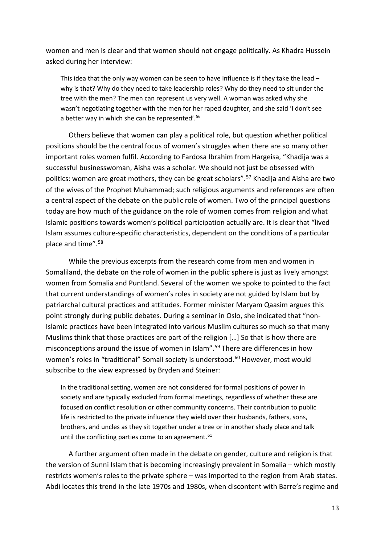women and men is clear and that women should not engage politically. As Khadra Hussein asked during her interview:

This idea that the only way women can be seen to have influence is if they take the lead  $$ why is that? Why do they need to take leadership roles? Why do they need to sit under the tree with the men? The men can represent us very well. A woman was asked why she wasn't negotiating together with the men for her raped daughter, and she said 'I don't see a better way in which she can be represented'.<sup>[56](#page-4-31)</sup>

Others believe that women can play a political role, but question whether political positions should be the central focus of women's struggles when there are so many other important roles women fulfil. According to Fardosa Ibrahim from Hargeisa, "Khadija was a successful businesswoman, Aisha was a scholar. We should not just be obsessed with politics: women are great mothers, they can be great scholars". [57](#page-4-32) Khadija and Aisha are two of the wives of the Prophet Muhammad; such religious arguments and references are often a central aspect of the debate on the public role of women. Two of the principal questions today are how much of the guidance on the role of women comes from religion and what Islamic positions towards women's political participation actually are. It is clear that "lived Islam assumes culture-specific characteristics, dependent on the conditions of a particular place and time". [58](#page-4-33)

While the previous excerpts from the research come from men and women in Somaliland, the debate on the role of women in the public sphere is just as lively amongst women from Somalia and Puntland. Several of the women we spoke to pointed to the fact that current understandings of women's roles in society are not guided by Islam but by patriarchal cultural practices and attitudes. Former minister Maryam Qaasim argues this point strongly during public debates. During a seminar in Oslo, she indicated that "non-Islamic practices have been integrated into various Muslim cultures so much so that many Muslims think that those practices are part of the religion […] So that is how there are misconceptions around the issue of women in Islam". [59](#page-4-34) There are differences in how women's roles in "traditional" Somali society is understood.<sup>[60](#page-4-35)</sup> However, most would subscribe to the view expressed by Bryden and Steiner:

In the traditional setting, women are not considered for formal positions of power in society and are typically excluded from formal meetings, regardless of whether these are focused on conflict resolution or other community concerns. Their contribution to public life is restricted to the private influence they wield over their husbands, fathers, sons, brothers, and uncles as they sit together under a tree or in another shady place and talk until the conflicting parties come to an agreement.<sup>[61](#page-4-36)</sup>

A further argument often made in the debate on gender, culture and religion is that the version of Sunni Islam that is becoming increasingly prevalent in Somalia – which mostly restricts women's roles to the private sphere – was imported to the region from Arab states. Abdi locates this trend in the late 1970s and 1980s, when discontent with Barre's regime and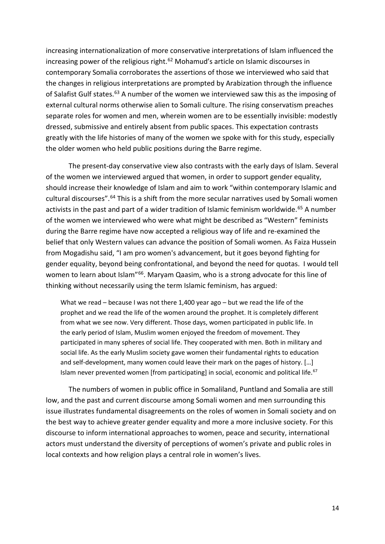increasing internationalization of more conservative interpretations of Islam influenced the increasing power of the religious right.<sup>62</sup> Mohamud's article on Islamic discourses in contemporary Somalia corroborates the assertions of those we interviewed who said that the changes in religious interpretations are prompted by Arabization through the influence of Salafist Gulf states.<sup>[63](#page-4-38)</sup> A number of the women we interviewed saw this as the imposing of external cultural norms otherwise alien to Somali culture. The rising conservatism preaches separate roles for women and men, wherein women are to be essentially invisible: modestly dressed, submissive and entirely absent from public spaces. This expectation contrasts greatly with the life histories of many of the women we spoke with for this study, especially the older women who held public positions during the Barre regime.

The present-day conservative view also contrasts with the early days of Islam. Several of the women we interviewed argued that women, in order to support gender equality, should increase their knowledge of Islam and aim to work "within contemporary Islamic and cultural discourses".<sup>[64](#page-4-39)</sup> This is a shift from the more secular narratives used by Somali women activists in the past and part of a wider tradition of Islamic feminism worldwide. [65](#page-4-40) A number of the women we interviewed who were what might be described as "Western" feminists during the Barre regime have now accepted a religious way of life and re-examined the belief that only Western values can advance the position of Somali women. As Faiza Hussein from Mogadishu said, "I am pro women's advancement, but it goes beyond fighting for gender equality, beyond being confrontational, and beyond the need for quotas. I would tell women to learn about Islam"<sup>[66](#page-4-41)</sup>. Maryam Qaasim, who is a strong advocate for this line of thinking without necessarily using the term Islamic feminism, has argued:

What we read – because I was not there 1,400 year ago – but we read the life of the prophet and we read the life of the women around the prophet. It is completely different from what we see now. Very different. Those days, women participated in public life. In the early period of Islam, Muslim women enjoyed the freedom of movement. They participated in many spheres of social life. They cooperated with men. Both in military and social life. As the early Muslim society gave women their fundamental rights to education and self-development, many women could leave their mark on the pages of history. […] Islam never prevented women [from participating] in social, economic and political life.<sup>[67](#page-4-42)</sup>

The numbers of women in public office in Somaliland, Puntland and Somalia are still low, and the past and current discourse among Somali women and men surrounding this issue illustrates fundamental disagreements on the roles of women in Somali society and on the best way to achieve greater gender equality and more a more inclusive society. For this discourse to inform international approaches to women, peace and security, international actors must understand the diversity of perceptions of women's private and public roles in local contexts and how religion plays a central role in women's lives.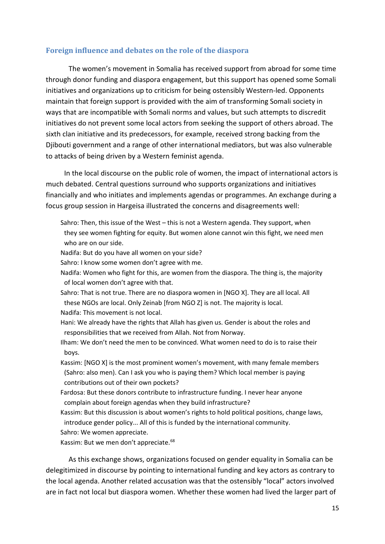#### **Foreign influence and debates on the role of the diaspora**

The women's movement in Somalia has received support from abroad for some time through donor funding and diaspora engagement, but this support has opened some Somali initiatives and organizations up to criticism for being ostensibly Western-led. Opponents maintain that foreign support is provided with the aim of transforming Somali society in ways that are incompatible with Somali norms and values, but such attempts to discredit initiatives do not prevent some local actors from seeking the support of others abroad. The sixth clan initiative and its predecessors, for example, received strong backing from the Djibouti government and a range of other international mediators, but was also vulnerable to attacks of being driven by a Western feminist agenda.

In the local discourse on the public role of women, the impact of international actors is much debated. Central questions surround who supports organizations and initiatives financially and who initiates and implements agendas or programmes. An exchange during a focus group session in Hargeisa illustrated the concerns and disagreements well:

- Sahro: Then, this issue of the West this is not a Western agenda. They support, when they see women fighting for equity. But women alone cannot win this fight, we need men who are on our side.
- Nadifa: But do you have all women on your side?
- Sahro: I know some women don't agree with me.
- Nadifa: Women who fight for this, are women from the diaspora. The thing is, the majority of local women don't agree with that.
- Sahro: That is not true. There are no diaspora women in [NGO X]. They are all local. All these NGOs are local. Only Zeinab [from NGO Z] is not. The majority is local. Nadifa: This movement is not local.
- Hani: We already have the rights that Allah has given us. Gender is about the roles and responsibilities that we received from Allah. Not from Norway.
- Ilham: We don't need the men to be convinced. What women need to do is to raise their boys.
- Kassim: [NGO X] is the most prominent women's movement, with many female members (Sahro: also men). Can I ask you who is paying them? Which local member is paying contributions out of their own pockets?
- Fardosa: But these donors contribute to infrastructure funding. I never hear anyone complain about foreign agendas when they build infrastructure?
- Kassim: But this discussion is about women's rights to hold political positions, change laws, introduce gender policy... All of this is funded by the international community. Sahro: We women appreciate.

Kassim: But we men don't appreciate.<sup>[68](#page-4-43)</sup>

As this exchange shows, organizations focused on gender equality in Somalia can be delegitimized in discourse by pointing to international funding and key actors as contrary to the local agenda. Another related accusation was that the ostensibly "local" actors involved are in fact not local but diaspora women. Whether these women had lived the larger part of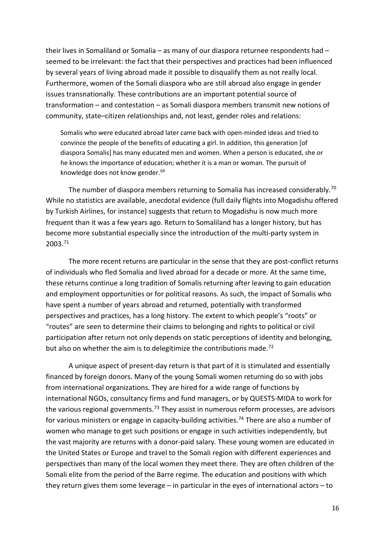their lives in Somaliland or Somalia – as many of our diaspora returnee respondents had – seemed to be irrelevant: the fact that their perspectives and practices had been influenced by several years of living abroad made it possible to disqualify them as not really local. Furthermore, women of the Somali diaspora who are still abroad also engage in gender issues transnationally. These contributions are an important potential source of transformation – and contestation – as Somali diaspora members transmit new notions of community, state–citizen relationships and, not least, gender roles and relations:

Somalis who were educated abroad later came back with open-minded ideas and tried to convince the people of the benefits of educating a girl. In addition, this generation [of diaspora Somalis] has many educated men and women. When a person is educated, she or he knows the importance of education; whether it is a man or woman. The pursuit of knowledge does not know gender.<sup>[69](#page-4-44)</sup>

The number of diaspora members returning to Somalia has increased considerably.<sup>[70](#page-4-45)</sup> While no statistics are available, anecdotal evidence (full daily flights into Mogadishu offered by Turkish Airlines, for instance) suggests that return to Mogadishu is now much more frequent than it was a few years ago. Return to Somaliland has a longer history, but has become more substantial especially since the introduction of the multi-party system in 2003.[71](#page-4-46)

The more recent returns are particular in the sense that they are post-conflict returns of individuals who fled Somalia and lived abroad for a decade or more. At the same time, these returns continue a long tradition of Somalis returning after leaving to gain education and employment opportunities or for political reasons. As such, the impact of Somalis who have spent a number of years abroad and returned, potentially with transformed perspectives and practices, has a long history. The extent to which people's "roots" or "routes" are seen to determine their claims to belonging and rights to political or civil participation after return not only depends on static perceptions of identity and belonging, but also on whether the aim is to delegitimize the contributions made.<sup>[72](#page-4-47)</sup>

A unique aspect of present-day return is that part of it is stimulated and essentially financed by foreign donors. Many of the young Somali women returning do so with jobs from international organizations. They are hired for a wide range of functions by international NGOs, consultancy firms and fund managers, or by QUESTS-MIDA to work for the various regional governments.<sup>73</sup> They assist in numerous reform processes, are advisors for various ministers or engage in capacity-building activities.<sup>[74](#page-5-1)</sup> There are also a number of women who manage to get such positions or engage in such activities independently, but the vast majority are returns with a donor-paid salary. These young women are educated in the United States or Europe and travel to the Somali region with different experiences and perspectives than many of the local women they meet there. They are often children of the Somali elite from the period of the Barre regime. The education and positions with which they return gives them some leverage – in particular in the eyes of international actors – to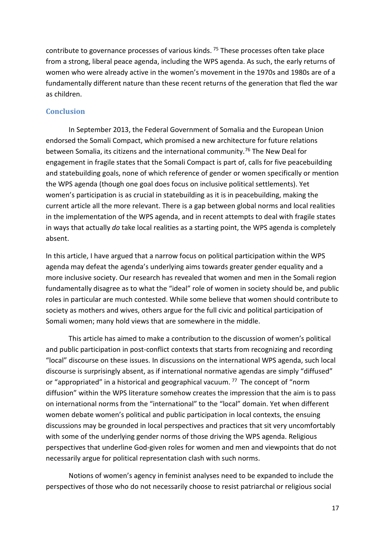contribute to governance processes of various kinds.<sup>[75](#page-5-2)</sup> These processes often take place from a strong, liberal peace agenda, including the WPS agenda. As such, the early returns of women who were already active in the women's movement in the 1970s and 1980s are of a fundamentally different nature than these recent returns of the generation that fled the war as children.

#### **Conclusion**

In September 2013, the Federal Government of Somalia and the European Union endorsed the Somali Compact, which promised a new architecture for future relations between Somalia, its citizens and the international community.<sup>[76](#page-5-3)</sup> The New Deal for engagement in fragile states that the Somali Compact is part of, calls for five peacebuilding and statebuilding goals, none of which reference of gender or women specifically or mention the WPS agenda (though one goal does focus on inclusive political settlements). Yet women's participation is as crucial in statebuilding as it is in peacebuilding, making the current article all the more relevant. There is a gap between global norms and local realities in the implementation of the WPS agenda, and in recent attempts to deal with fragile states in ways that actually *do* take local realities as a starting point, the WPS agenda is completely absent.

In this article, I have argued that a narrow focus on political participation within the WPS agenda may defeat the agenda's underlying aims towards greater gender equality and a more inclusive society. Our research has revealed that women and men in the Somali region fundamentally disagree as to what the "ideal" role of women in society should be, and public roles in particular are much contested. While some believe that women should contribute to society as mothers and wives, others argue for the full civic and political participation of Somali women; many hold views that are somewhere in the middle.

This article has aimed to make a contribution to the discussion of women's political and public participation in post-conflict contexts that starts from recognizing and recording "local" discourse on these issues. In discussions on the international WPS agenda, such local discourse is surprisingly absent, as if international normative agendas are simply "diffused" or "appropriated" in a historical and geographical vacuum.  $^{77}$  $^{77}$  $^{77}$  The concept of "norm diffusion" within the WPS literature somehow creates the impression that the aim is to pass on international norms from the "international" to the "local" domain. Yet when different women debate women's political and public participation in local contexts, the ensuing discussions may be grounded in local perspectives and practices that sit very uncomfortably with some of the underlying gender norms of those driving the WPS agenda. Religious perspectives that underline God-given roles for women and men and viewpoints that do not necessarily argue for political representation clash with such norms.

Notions of women's agency in feminist analyses need to be expanded to include the perspectives of those who do not necessarily choose to resist patriarchal or religious social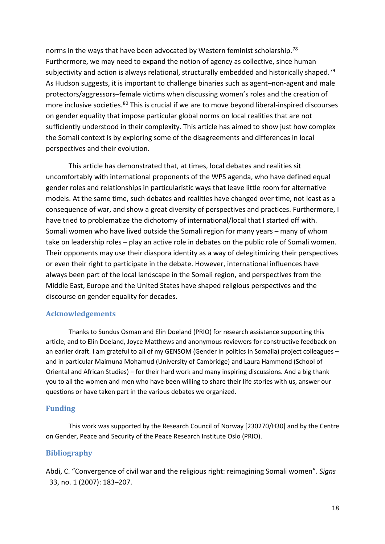norms in the ways that have been advocated by Western feminist scholarship.<sup>[78](#page-5-5)</sup> Furthermore, we may need to expand the notion of agency as collective, since human subjectivity and action is always relational, structurally embedded and historically shaped.<sup>79</sup> As Hudson suggests, it is important to challenge binaries such as agent–non-agent and male protectors/aggressors–female victims when discussing women's roles and the creation of more inclusive societies.<sup>[80](#page-5-7)</sup> This is crucial if we are to move beyond liberal-inspired discourses on gender equality that impose particular global norms on local realities that are not sufficiently understood in their complexity. This article has aimed to show just how complex the Somali context is by exploring some of the disagreements and differences in local perspectives and their evolution.

This article has demonstrated that, at times, local debates and realities sit uncomfortably with international proponents of the WPS agenda, who have defined equal gender roles and relationships in particularistic ways that leave little room for alternative models. At the same time, such debates and realities have changed over time, not least as a consequence of war, and show a great diversity of perspectives and practices. Furthermore, I have tried to problematize the dichotomy of international/local that I started off with. Somali women who have lived outside the Somali region for many years – many of whom take on leadership roles – play an active role in debates on the public role of Somali women. Their opponents may use their diaspora identity as a way of delegitimizing their perspectives or even their right to participate in the debate. However, international influences have always been part of the local landscape in the Somali region, and perspectives from the Middle East, Europe and the United States have shaped religious perspectives and the discourse on gender equality for decades.

#### **Acknowledgements**

Thanks to Sundus Osman and Elin Doeland (PRIO) for research assistance supporting this article, and to Elin Doeland, Joyce Matthews and anonymous reviewers for constructive feedback on an earlier draft. I am grateful to all of my GENSOM (Gender in politics in Somalia) project colleagues – and in particular Maimuna Mohamud (University of Cambridge) and Laura Hammond (School of Oriental and African Studies) – for their hard work and many inspiring discussions. And a big thank you to all the women and men who have been willing to share their life stories with us, answer our questions or have taken part in the various debates we organized.

#### **Funding**

This work was supported by the Research Council of Norway [230270/H30] and by the Centre on Gender, Peace and Security of the Peace Research Institute Oslo (PRIO).

### **Bibliography**

Abdi, C. "Convergence of civil war and the religious right: reimagining Somali women". *Signs* 33, no. 1 (2007): 183–207.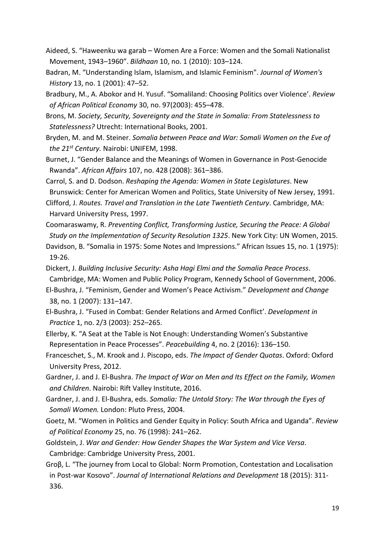- Aideed, S. "Haweenku wa garab Women Are a Force: Women and the Somali Nationalist Movement, 1943–1960". *Bildhaan* 10, no. 1 (2010): 103–124.
- Badran, M. "Understanding Islam, Islamism, and Islamic Feminism". *Journal of Women's History* 13, no. 1 (2001): 47–52.
- Bradbury, M., A. Abokor and H. Yusuf. "Somaliland: Choosing Politics over Violence'. *Review of African Political Economy* 30, no. 97(2003): 455–478.
- Brons, M. *Society, Security, Sovereignty and the State in Somalia: From Statelessness to Statelessness?* Utrecht: International Books, 2001.
- Bryden, M. and M. Steiner. *Somalia between Peace and War: Somali Women on the Eve of the 21st Century.* Nairobi: UNIFEM, 1998.
- Burnet, J. "Gender Balance and the Meanings of Women in Governance in Post-Genocide Rwanda". *African Affairs* 107, no. 428 (2008): 361–386.

Carrol, S. and D. Dodson. *Reshaping the Agenda: Women in State Legislatures*. New Brunswick: Center for American Women and Politics, State University of New Jersey, 1991. Clifford, J. *Routes. Travel and Translation in the Late Twentieth Century*. Cambridge, MA:

- Harvard University Press, 1997.
- Coomaraswamy, R. *Preventing Conflict, Transforming Justice, Securing the Peace: A Global Study on the Implementation of Security Resolution 1325*. New York City: UN Women, 2015. Davidson, B. "Somalia in 1975: Some Notes and Impressions." African Issues 15, no. 1 (1975): 19-26.
- Dickert, J. *Building Inclusive Security: Asha Hagi Elmi and the Somalia Peace Process*. Cambridge, MA: Women and Public Policy Program, Kennedy School of Government, 2006.
- El-Bushra, J. "Feminism, Gender and Women's Peace Activism." *Development and Change*  38, no. 1 (2007): 131–147.
- El-Bushra, J. "Fused in Combat: Gender Relations and Armed Conflict'. *Development in Practice* 1, no. 2/3 (2003): 252–265.
- Ellerby, K. "A Seat at the Table is Not Enough: Understanding Women's Substantive Representation in Peace Processes". *Peacebuilding* 4, no. 2 (2016): 136–150.
- Franceschet, S., M. Krook and J. Piscopo, eds. *The Impact of Gender Quotas*. Oxford: Oxford University Press, 2012.
- Gardner, J. and J. El-Bushra. *The Impact of War on Men and Its Effect on the Family, Women and Children*. Nairobi: Rift Valley Institute, 2016.
- Gardner, J. and J. El-Bushra, eds. *Somalia: The Untold Story: The War through the Eyes of Somali Women.* London: Pluto Press, 2004.
- Goetz, M. "Women in Politics and Gender Equity in Policy: South Africa and Uganda". *Review of Political Economy* 25, no. 76 (1998): 241–262.
- Goldstein, J. *War and Gender: How Gender Shapes the War System and Vice Versa*. Cambridge: Cambridge University Press, 2001.
- Groβ, L. "The journey from Local to Global: Norm Promotion, Contestation and Localisation in Post-war Kosovo". *Journal of International Relations and Development* 18 (2015): 311- 336.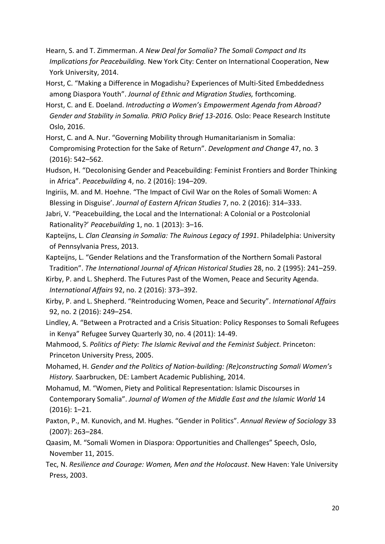Hearn, S. and T. Zimmerman. *A New Deal for Somalia? The Somali Compact and Its Implications for Peacebuilding.* New York City: Center on International Cooperation, New York University, 2014.

Horst, C. "Making a Difference in Mogadishu? Experiences of Multi-Sited Embeddedness among Diaspora Youth". *Journal of Ethnic and Migration Studies,* forthcoming.

- Horst, C. and E. Doeland. *Introducting a Women's Empowerment Agenda from Abroad? Gender and Stability in Somalia. PRIO Policy Brief 13-2016.* Oslo: Peace Research Institute Oslo, 2016.
- Horst, C. and A. Nur. "Governing Mobility through Humanitarianism in Somalia: Compromising Protection for the Sake of Return". *Development and Change* 47, no. 3 (2016): 542–562.
- Hudson, H. "Decolonising Gender and Peacebuilding: Feminist Frontiers and Border Thinking in Africa". *Peacebuilding* 4, no. 2 (2016): 194–209.
- Ingiriis, M. and M. Hoehne. "The Impact of Civil War on the Roles of Somali Women: A Blessing in Disguise'. *Journal of Eastern African Studies* 7, no. 2 (2016): 314–333.
- Jabri, V. "Peacebuilding, the Local and the International: A Colonial or a Postcolonial Rationality?' *Peacebuilding* 1, no. 1 (2013): 3–16.
- Kapteijns, L. *Clan Cleansing in Somalia: The Ruinous Legacy of 1991*. Philadelphia: University of Pennsylvania Press, 2013.
- Kapteijns, L. "Gender Relations and the Transformation of the Northern Somali Pastoral Tradition". *The International Journal of African Historical Studies* 28, no. 2 (1995): 241–259.
- Kirby, P. and L. Shepherd. The Futures Past of the Women, Peace and Security Agenda. *International Affairs* 92, no. 2 (2016): 373–392.
- Kirby, P. and L. Shepherd. "Reintroducing Women, Peace and Security". *International Affairs* 92, no. 2 (2016): 249–254.
- Lindley, A. "Between a Protracted and a Crisis Situation: Policy Responses to Somali Refugees in Kenya" Refugee Survey Quarterly 30, no. 4 (2011): 14-49.
- Mahmood, S. *Politics of Piety: The Islamic Revival and the Feminist Subject*. Princeton: Princeton University Press, 2005.
- Mohamed, H. *Gender and the Politics of Nation-building: (Re)constructing Somali Women's History.* Saarbrucken, DE: Lambert Academic Publishing, 2014.
- Mohamud, M. "Women, Piety and Political Representation: Islamic Discourses in Contemporary Somalia". *Journal of Women of the Middle East and the Islamic World* 14 (2016): 1–21.
- Paxton, P., M. Kunovich, and M. Hughes. "Gender in Politics". *Annual Review of Sociology* 33 (2007): 263–284.
- Qaasim, M. "Somali Women in Diaspora: Opportunities and Challenges" Speech, Oslo, November 11, 2015.
- Tec, N. *Resilience and Courage: Women, Men and the Holocaust*. New Haven: Yale University Press, 2003.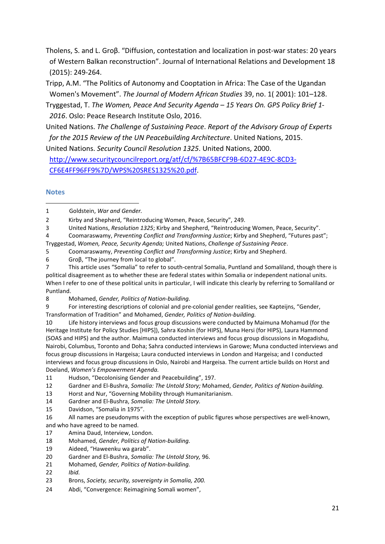Tholens, S. and L. Groβ. "Diffusion, contestation and localization in post-war states: 20 years of Western Balkan reconstruction". Journal of International Relations and Development 18 (2015): 249-264.

Tripp, A.M. "The Politics of Autonomy and Cooptation in Africa: The Case of the Ugandan Women's Movement". *The Journal of Modern African Studies* 39, no. 1( 2001): 101–128.

Tryggestad, T. *The Women, Peace And Security Agenda – 15 Years On. GPS Policy Brief 1- 2016*. Oslo: Peace Research Institute Oslo, 2016.

United Nations. *The Challenge of Sustaining Peace*. *Report of the Advisory Group of Experts for the 2015 Review of the UN Peacebuilding Architecture*. United Nations, 2015.

United Nations. *Security Council Resolution 1325*. United Nations, 2000.

[http://www.securitycouncilreport.org/atf/cf/%7B65BFCF9B-6D27-4E9C-8CD3-](http://www.securitycouncilreport.org/atf/cf/%7B65BFCF9B-6D27-4E9C-8CD3-CF6E4FF96FF9%7D/WPS%20SRES1325%20.pdf) [CF6E4FF96FF9%7D/WPS%20SRES1325%20.pdf.](http://www.securitycouncilreport.org/atf/cf/%7B65BFCF9B-6D27-4E9C-8CD3-CF6E4FF96FF9%7D/WPS%20SRES1325%20.pdf)

### **Notes**

 $\overline{a}$ 1 Goldstein, *War and Gender.* 

2 Kirby and Shepherd, "Reintroducing Women, Peace, Security", 249.

3 United Nations, *Resolution 1325*; Kirby and Shepherd, "Reintroducing Women, Peace, Security".

4 Coomaraswamy, *Preventing Conflict and Transforming Justice*; Kirby and Shepherd, "Futures past";

Tryggestad, *Women, Peace, Security Agenda;* United Nations, *Challenge of Sustaining Peace*.

5 Coomaraswamy, *Preventing Conflict and Transforming Justice*; Kirby and Shepherd.

6 Groβ, "The journey from local to global".

7 This article uses "Somalia" to refer to south-central Somalia, Puntland and Somaliland, though there is political disagreement as to whether these are federal states within Somalia or independent national units. When I refer to one of these political units in particular, I will indicate this clearly by referring to Somaliland or Puntland.

8 Mohamed, *Gender, Politics of Nation-building.*

9 For interesting descriptions of colonial and pre-colonial gender realities, see Kapteijns, "Gender, Transformation of Tradition" and Mohamed, *Gender, Politics of Nation-building.*

10 Life history interviews and focus group discussions were conducted by Maimuna Mohamud (for the Heritage Institute for Policy Studies [HIPS]), Sahra Koshin (for HIPS), Muna Hersi (for HIPS), Laura Hammond (SOAS and HIPS) and the author. Maimuna conducted interviews and focus group discussions in Mogadishu, Nairobi, Columbus, Toronto and Doha; Sahra conducted interviews in Garowe; Muna conducted interviews and focus group discussions in Hargeisa; Laura conducted interviews in London and Hargeisa; and I conducted interviews and focus group discussions in Oslo, Nairobi and Hargeisa. The current article builds on Horst and Doeland, *Women's Empowerment Agenda.*

11 Hudson, "Decolonising Gender and Peacebuilding", 197.

12 Gardner and El-Bushra, *Somalia: The Untold Story;* Mohamed, *Gender, Politics of Nation-building.*

- 13 Horst and Nur, "Governing Mobility through Humanitarianism.
- 14 Gardner and El-Bushra, *Somalia: The Untold Story.*
- 15 Davidson, "Somalia in 1975".

16 All names are pseudonyms with the exception of public figures whose perspectives are well-known, and who have agreed to be named.

- 17 Amina Daud, Interview, London.
- 18 Mohamed, *Gender, Politics of Nation-building.*
- 19 Aideed, "Haweenku wa garab".
- 20 Gardner and El-Bushra, *Somalia: The Untold Story,* 96.
- 21 Mohamed, *Gender, Politics of Nation-building.*
- 22 *Ibid.*
- 23 Brons, *Society, security, sovereignty in Somalia, 200.*
- 24 Abdi, "Convergence: Reimagining Somali women",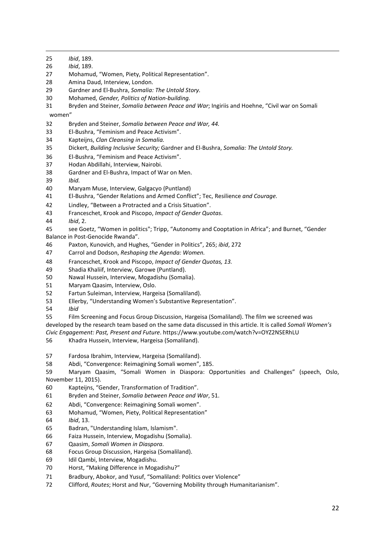- *Ibid*, 189.
- Mohamud, "Women, Piety, Political Representation".
- Amina Daud, Interview, London.
- Gardner and El-Bushra, *Somalia: The Untold Story.*
- Mohamed, *Gender, Politics of Nation-building.*

Bryden and Steiner, *Somalia between Peace and War*; Ingiriis and Hoehne, "Civil war on Somali

women"

- Bryden and Steiner, *Somalia between Peace and War, 44.*
- El-Bushra, "Feminism and Peace Activism".
- Kapteijns, *Clan Cleansing in Somalia.*
- Dickert, *Building Inclusive Security;* Gardner and El-Bushra, *Somalia: The Untold Story.*
- El-Bushra, "Feminism and Peace Activism".
- Hodan Abdillahi, Interview, Nairobi.
- Gardner and El-Bushra, Impact of War on Men.
- *Ibid.*
- Maryam Muse, Interview, Galgacyo (Puntland)
- El-Bushra, "Gender Relations and Armed Conflict"; Tec, Resilience *and Courage.*
- Lindley, "Between a Protracted and a Crisis Situation".
- Franceschet, Krook and Piscopo, *Impact of Gender Quotas*.
- *Ibid*, 2.
- see Goetz, "Women in politics"; Tripp, "Autonomy and Cooptation in Africa"; and Burnet, "Gender Balance in Post-Genocide Rwanda".
- Paxton, Kunovich, and Hughes, "Gender in Politics", 265; *ibid*, 272
- Carrol and Dodson, *Reshaping the Agenda: Women.*
- Franceschet, Krook and Piscopo, *Impact of Gender Quotas, 13.*
- Shadia Khaliif, Interview, Garowe (Puntland).
- Nawal Hussein, Interview, Mogadishu (Somalia).
- Maryam Qaasim, Interview, Oslo.
- Fartun Suleiman, Interview, Hargeisa (Somaliland).
- Ellerby, "Understanding Women's Substantive Representation".
- *Ibid*
- Film Screening and Focus Group Discussion, Hargeisa (Somaliland). The film we screened was developed by the research team based on the same data discussed in this article. It is called *Somali Women's*

*Civic Engagement: Past, Present and Future*. https://www.youtube.com/watch?v=OYZ2NSERhLU

Khadra Hussein, Interview, Hargeisa (Somaliland).

- Fardosa Ibrahim, Interview, Hargeisa (Somaliland).
- Abdi, "Convergence: Reimagining Somali women", 185.

 Maryam Qaasim, "Somali Women in Diaspora: Opportunities and Challenges" (speech, Oslo, November 11, 2015).

- Kapteijns, "Gender, Transformation of Tradition".
- Bryden and Steiner, *Somalia between Peace and War*, 51.
- Abdi, "Convergence: Reimagining Somali women".
- Mohamud, "Women, Piety, Political Representation"
- *Ibid*, 13.
- Badran, "Understanding Islam, Islamism".
- Faiza Hussein, Interview, Mogadishu (Somalia).
- Qaasim, *Somali Women in Diaspora*.
- Focus Group Discussion, Hargeisa (Somaliland).
- Idil Qambi, Interview, Mogadishu.
- Horst, "Making Difference in Mogadishu?"
- Bradbury, Abokor, and Yusuf, "Somaliland: Politics over Violence"
- Clifford, *Routes*; Horst and Nur, "Governing Mobility through Humanitarianism".

 $\overline{a}$ *Ibid*, 189.